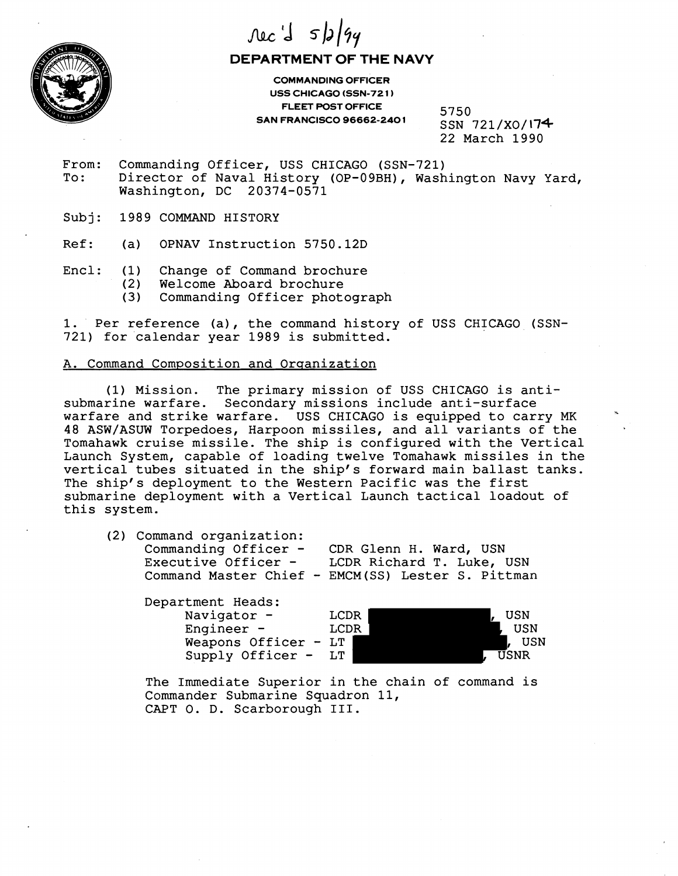

## $\text{Nec}'$   $s/s/gq$

**DEPARTMENT OF THE NAVY** 

**COMMANDING OFFICER USS CHICAGO (SSN-72 1 FLEET POST OFFICE SAN FRANCISCO 96662-240 1** 

5750 SSN 721/X0/174 22 March 1990

- From: Commanding Officer, USS CHICAGO (SSN-721)<br>To: Director of Naval History (OP-09BH), Wash Director of Naval History (OP-09BH), Washington Navy Yard, Washington, DC 20374-0571
- Subj: 1989 COMMAND HISTORY
- Ref: (a) OPNAV Instruction 5750.12D
- Encl: (1) Change of Command brochure<br>(2) Welcome Aboard brochure
	- (2) Welcome Aboard brochure
	- Commanding Officer photograph

1. Per reference (a), the command history of USS CHICAGO (SSN-721) for calendar year 1989 is submitted.

## A. Command Composition and Organization

(1) Mission. The primary mission of USS CHICAGO is antisubmarine warfare. Secondary missions include anti-surface warfare and strike warfare. US5 CHICAGO is equipped to carry MK 48 ASW/ASUW Torpedoes, Harpoon missiles, and all variants of the Tomahawk cruise missile. The ship is configured with the Vertical Launch System, capable of loading twelve Tomahawk missiles in the vertical tubes situated in the ship's forward main ballast tanks. The ship's deployment to the Western Pacific was the first submarine deployment with a Vertical Launch tactical loadout of this system.

(2) Command organization: Commanding Officer - CDR Glenn H. Ward, USN Commanding Officer - CDR Gienn A. Ward, OSN<br>Executive Officer - LCDR Richard T. Luke, USN Executive Officer - LCDR Richard T. Luke, USN<br>Command Master Chief - EMCM(SS) Lester S. Pittman

Department Heads: Navigator - LCDR , USN , USN , LCDR , USN , USN , USN , USN , USN , USN , USN , USN , USN , USN , USN , USN , USN , USN , USN , USN , USN , USN , USN , USN , USN , USN , USN , USN , USN , USN , USN , USN , USN , USN , USN Engineer – LCDR (USN)<br>Weapons Officer – LT Weapons Officer - LT<br>
Supply Officer - LT<br>
, USNR Supply Officer -

The Immediate Superior in the chain of command is Commander Submarine Squadron 11, CAPT 0. D. Scarborough 111.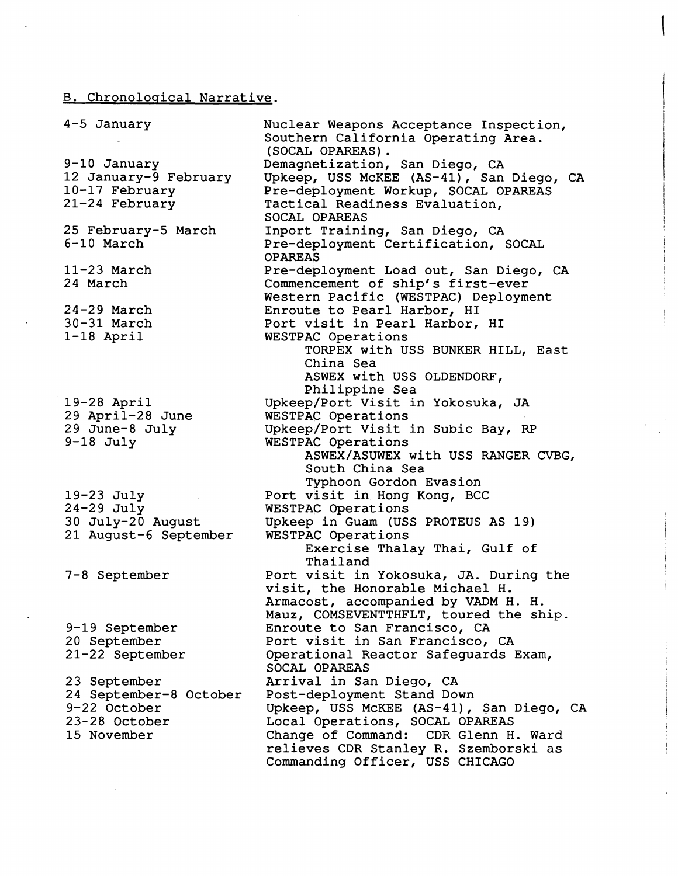## B. Chronoloqical Narrative.

| 4-5 January                           | Nuclear Weapons Acceptance Inspection,<br>Southern California Operating Area.<br>(SOCAL OPAREAS). |
|---------------------------------------|---------------------------------------------------------------------------------------------------|
| 9-10 January<br>12 January-9 February | Demagnetization, San Diego, CA<br>Upkeep, USS McKEE (AS-41), San Diego, CA                        |
| 10-17 February                        | Pre-deployment Workup, SOCAL OPAREAS                                                              |
| $21-24$ February                      | Tactical Readiness Evaluation,<br>SOCAL OPAREAS                                                   |
| 25 February-5 March                   | Inport Training, San Diego, CA                                                                    |
| 6-10 March                            | Pre-deployment Certification, SOCAL<br><b>OPAREAS</b>                                             |
| $11-23$ March                         | Pre-deployment Load out, San Diego, CA                                                            |
| 24 March                              | Commencement of ship's first-ever                                                                 |
|                                       | Western Pacific (WESTPAC) Deployment                                                              |
| $24-29$ March                         | Enroute to Pearl Harbor, HI                                                                       |
| $30 - 31$ March                       | Port visit in Pearl Harbor, HI                                                                    |
| $1-18$ April                          | WESTPAC Operations                                                                                |
|                                       | TORPEX with USS BUNKER HILL, East                                                                 |
|                                       | China Sea                                                                                         |
|                                       | ASWEX with USS OLDENDORF,<br>Philippine Sea                                                       |
| $19-28$ April                         | Upkeep/Port Visit in Yokosuka, JA                                                                 |
| 29 April-28 June                      | WESTPAC Operations                                                                                |
| 29 June-8 July                        | Upkeep/Port Visit in Subic Bay, RP                                                                |
| $9-18$ July                           | WESTPAC Operations                                                                                |
|                                       | ASWEX/ASUWEX with USS RANGER CVBG,                                                                |
|                                       | South China Sea                                                                                   |
|                                       | Typhoon Gordon Evasion                                                                            |
| 19-23 July                            | Port visit in Hong Kong, BCC                                                                      |
| $24-29$ July                          | WESTPAC Operations                                                                                |
| 30 July-20 August                     | Upkeep in Guam (USS PROTEUS AS 19)                                                                |
| 21 August-6 September                 | WESTPAC Operations                                                                                |
|                                       | Exercise Thalay Thai, Gulf of<br>Thailand                                                         |
| 7-8 September                         | Port visit in Yokosuka, JA. During the                                                            |
|                                       | visit, the Honorable Michael H.                                                                   |
|                                       | Armacost, accompanied by VADM H. H.                                                               |
|                                       | Mauz, COMSEVENTTHFLT, toured the ship.                                                            |
| 9-19 September                        | Enroute to San Francisco, CA                                                                      |
| 20 September                          | Port visit in San Francisco, CA                                                                   |
| 21-22 September                       | Operational Reactor Safeguards Exam,                                                              |
| 23 September                          | SOCAL OPAREAS<br>Arrival in San Diego, CA                                                         |
| 24 September-8 October                | Post-deployment Stand Down                                                                        |
| 9-22 October                          | Upkeep, USS McKEE (AS-41), San Diego, CA                                                          |
| 23-28 October                         | Local Operations, SOCAL OPAREAS                                                                   |
| 15 November                           | Change of Command: CDR Glenn H. Ward                                                              |
|                                       | relieves CDR Stanley R. Szemborski as                                                             |
|                                       | Commanding Officer, USS CHICAGO                                                                   |